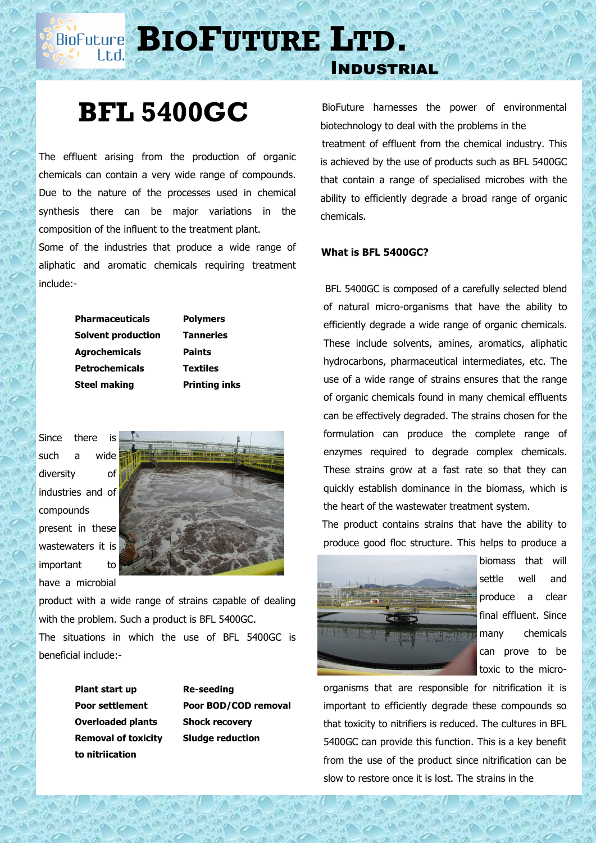**BIOPUTURE** LTD.

## **BFL 5400GC**

The effluent arising from the production of organic chemicals can contain a very wide range of compounds. Due to the nature of the processes used in chemical synthesis there can be major variations in the composition of the influent to the treatment plant.

Some of the industries that produce a wide range of aliphatic and aromatic chemicals requiring treatment include:-

> **Pharmaceuticals Polymers Solvent production Tanneries Agrochemicals Paints Petrochemicals Textiles Steel making Printing inks**

Since there is such a wide diversity of industries and of compounds present in these wastewaters it is important to have a microbial



product with a wide range of strains capable of dealing with the problem. Such a product is BFL 5400GC.

The situations in which the use of BFL 5400GC is beneficial include:-

> **Plant start up Re-seeding Overloaded plants Shock recovery Removal of toxicity Sludge reduction to nitriication**

**Poor settlement Poor BOD/COD removal**

 BioFuture harnesses the power of environmental biotechnology to deal with the problems in the treatment of effluent from the chemical industry. This is achieved by the use of products such as BFL 5400GC that contain a range of specialised microbes with the ability to efficiently degrade a broad range of organic chemicals.

## **What is BFL 5400GC?**

Industrial

BFL 5400GC is composed of a carefully selected blend of natural micro-organisms that have the ability to efficiently degrade a wide range of organic chemicals. These include solvents, amines, aromatics, aliphatic hydrocarbons, pharmaceutical intermediates, etc. The use of a wide range of strains ensures that the range of organic chemicals found in many chemical effluents can be effectively degraded. The strains chosen for the formulation can produce the complete range of enzymes required to degrade complex chemicals. These strains grow at a fast rate so that they can quickly establish dominance in the biomass, which is the heart of the wastewater treatment system.

 The product contains strains that have the ability to produce good floc structure. This helps to produce a



biomass that will settle well and produce a clear final effluent. Since many chemicals can prove to be toxic to the micro-

organisms that are responsible for nitrification it is important to efficiently degrade these compounds so that toxicity to nitrifiers is reduced. The cultures in BFL 5400GC can provide this function. This is a key benefit from the use of the product since nitrification can be slow to restore once it is lost. The strains in the